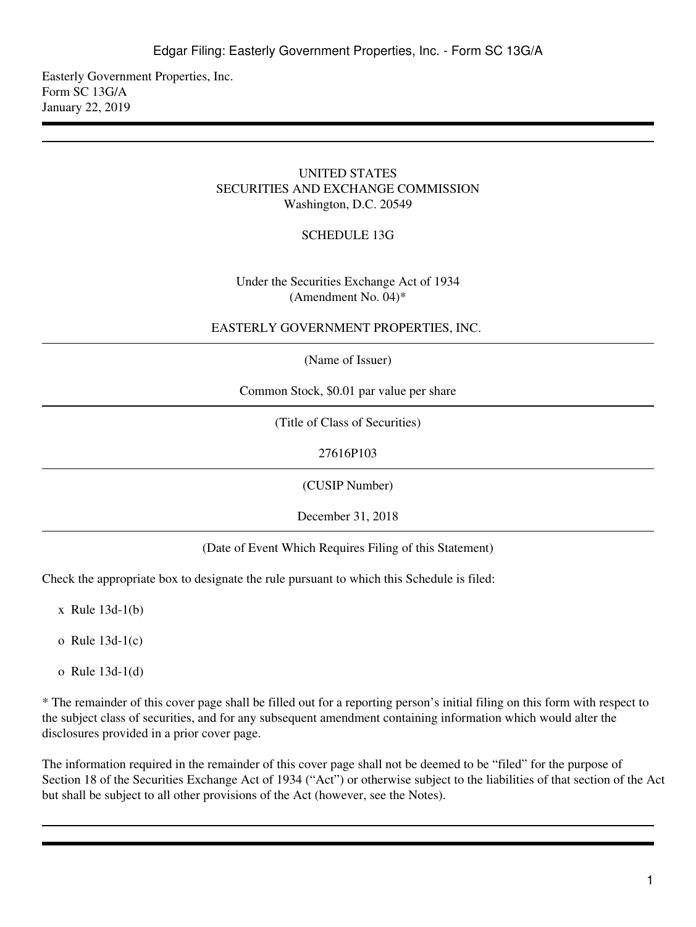Easterly Government Properties, Inc. Form SC 13G/A January 22, 2019

## UNITED STATES SECURITIES AND EXCHANGE COMMISSION Washington, D.C. 20549

## SCHEDULE 13G

## Under the Securities Exchange Act of 1934 (Amendment No. 04)\*

#### EASTERLY GOVERNMENT PROPERTIES, INC.

(Name of Issuer)

Common Stock, \$0.01 par value per share

(Title of Class of Securities)

27616P103

(CUSIP Number)

December 31, 2018

(Date of Event Which Requires Filing of this Statement)

Check the appropriate box to designate the rule pursuant to which this Schedule is filed:

x Rule 13d-1(b)

- o Rule 13d-1(c)
- o Rule 13d-1(d)

\* The remainder of this cover page shall be filled out for a reporting person's initial filing on this form with respect to the subject class of securities, and for any subsequent amendment containing information which would alter the disclosures provided in a prior cover page.

The information required in the remainder of this cover page shall not be deemed to be "filed" for the purpose of Section 18 of the Securities Exchange Act of 1934 ("Act") or otherwise subject to the liabilities of that section of the Act but shall be subject to all other provisions of the Act (however, see the Notes).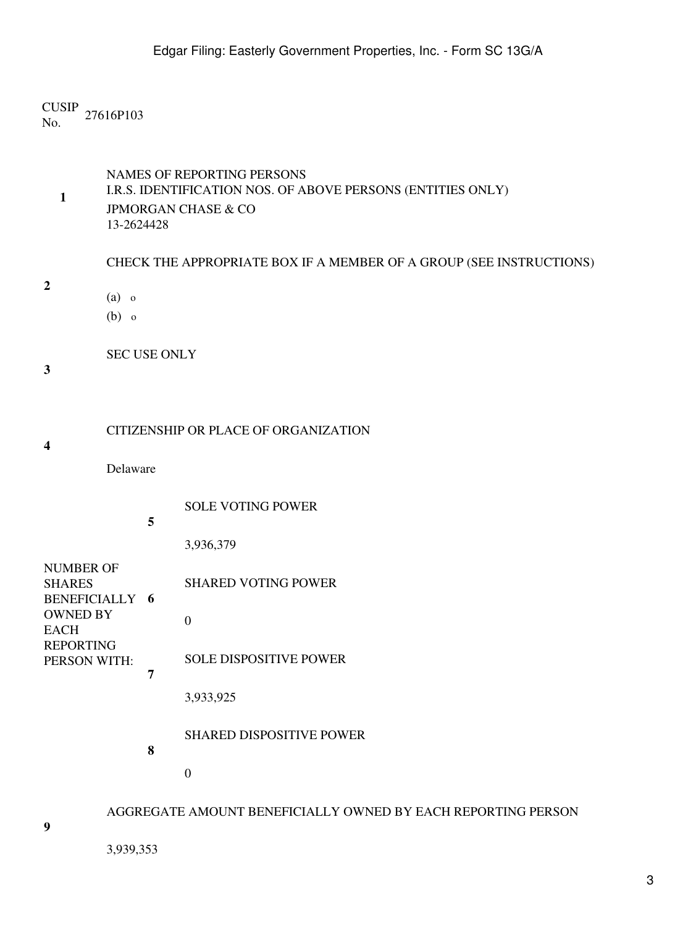CUSIP No. 27616P103

**1** NAMES OF REPORTING PERSONS I.R.S. IDENTIFICATION NOS. OF ABOVE PERSONS (ENTITIES ONLY) JPMORGAN CHASE & CO 13-2624428

CHECK THE APPROPRIATE BOX IF A MEMBER OF A GROUP (SEE INSTRUCTIONS) (a) o

(b) o

SEC USE ONLY

**3**

**4**

**2**

| CITIZENSHIP OR PLACE OF ORGANIZATION |  |
|--------------------------------------|--|
|                                      |  |
|                                      |  |

Delaware

**5**

SOLE VOTING POWER

3,936,379

| NUMBER OF<br><b>SHARES</b><br><b>BENEFICIALLY 6</b> |   | <b>SHARED VOTING POWER</b>      |
|-----------------------------------------------------|---|---------------------------------|
| <b>OWNED BY</b><br><b>EACH</b>                      |   |                                 |
| <b>REPORTING</b><br>PERSON WITH:                    | 7 | <b>SOLE DISPOSITIVE POWER</b>   |
|                                                     |   | 3,933,925                       |
|                                                     | 8 | <b>SHARED DISPOSITIVE POWER</b> |

0

# AGGREGATE AMOUNT BENEFICIALLY OWNED BY EACH REPORTING PERSON

**9**

3,939,353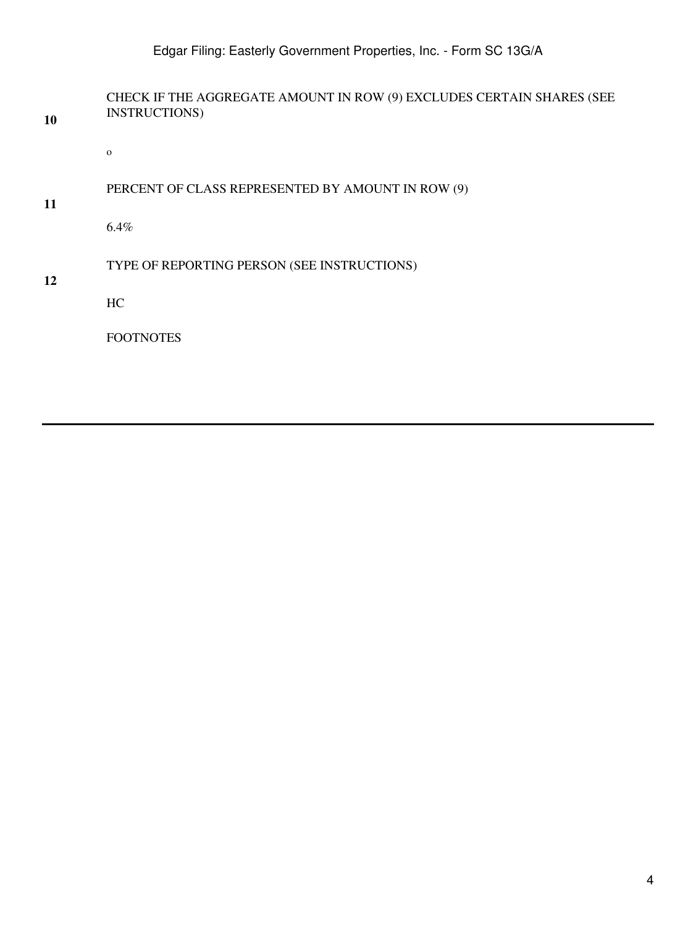# Edgar Filing: Easterly Government Properties, Inc. - Form SC 13G/A

**10** CHECK IF THE AGGREGATE AMOUNT IN ROW (9) EXCLUDES CERTAIN SHARES (SEE INSTRUCTIONS)

o

# PERCENT OF CLASS REPRESENTED BY AMOUNT IN ROW (9)

**11**

6.4%

# TYPE OF REPORTING PERSON (SEE INSTRUCTIONS)

**12**

HC

FOOTNOTES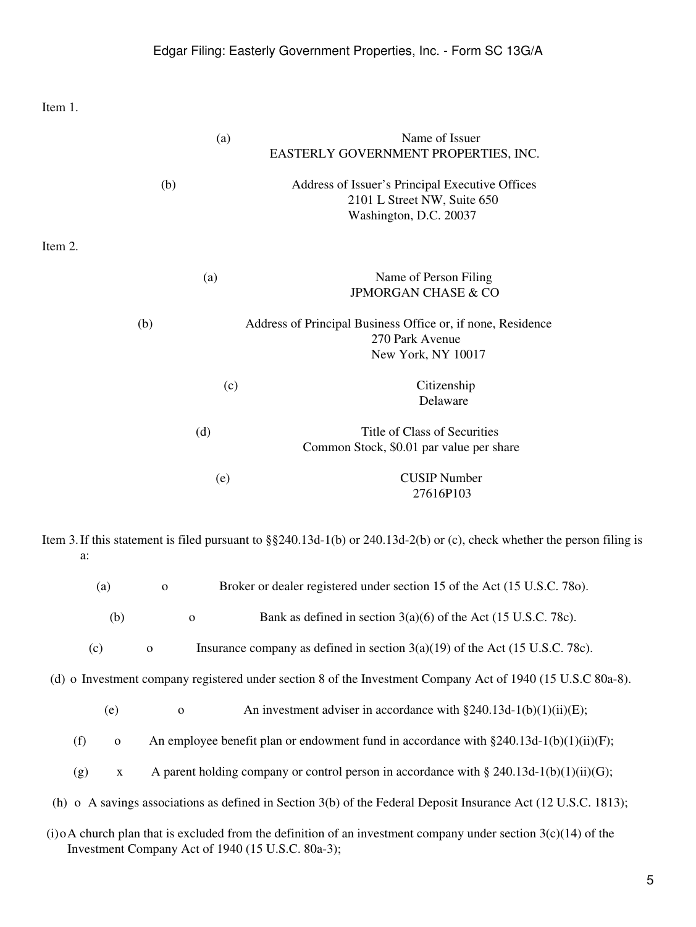Item 1.

|         | (a)         | Name of Issuer<br>EASTERLY GOVERNMENT PROPERTIES, INC.                                                                      |
|---------|-------------|-----------------------------------------------------------------------------------------------------------------------------|
|         | (b)         | Address of Issuer's Principal Executive Offices<br>2101 L Street NW, Suite 650<br>Washington, D.C. 20037                    |
| Item 2. |             |                                                                                                                             |
|         | (a)         | Name of Person Filing<br><b>JPMORGAN CHASE &amp; CO</b>                                                                     |
| (b)     |             | Address of Principal Business Office or, if none, Residence<br>270 Park Avenue<br>New York, NY 10017                        |
|         | (c)         | Citizenship<br>Delaware                                                                                                     |
|         | (d)         | Title of Class of Securities<br>Common Stock, \$0.01 par value per share                                                    |
|         | (e)         | <b>CUSIP Number</b><br>27616P103                                                                                            |
| a:      |             | Item 3. If this statement is filed pursuant to $\S$ 240.13d-1(b) or 240.13d-2(b) or (c), check whether the person filing is |
| (a)     | $\mathbf 0$ | Broker or dealer registered under section 15 of the Act (15 U.S.C. 780).                                                    |

| Bank as defined in section $3(a)(6)$ of the Act (15 U.S.C. 78c). |  |
|------------------------------------------------------------------|--|
|------------------------------------------------------------------|--|

| (c) |  | Insurance company as defined in section $3(a)(19)$ of the Act (15 U.S.C. 78c). |
|-----|--|--------------------------------------------------------------------------------|
|-----|--|--------------------------------------------------------------------------------|

(d) o Investment company registered under section 8 of the Investment Company Act of 1940 (15 U.S.C 80a-8).

| (e) | An investment adviser in accordance with $\S 240.13d-1(b)(1)(ii)(E)$ ; |  |
|-----|------------------------------------------------------------------------|--|
|-----|------------------------------------------------------------------------|--|

|  |  |  | An employee benefit plan or endowment fund in accordance with $\S 240.13d-1(b)(1)(ii)(F)$ ; |
|--|--|--|---------------------------------------------------------------------------------------------|
|--|--|--|---------------------------------------------------------------------------------------------|

- (g) x A parent holding company or control person in accordance with § 240.13d-1(b)(1)(ii)(G);
- (h) o A savings associations as defined in Section 3(b) of the Federal Deposit Insurance Act (12 U.S.C. 1813);
- (i)oA church plan that is excluded from the definition of an investment company under section  $3(c)(14)$  of the Investment Company Act of 1940 (15 U.S.C. 80a-3);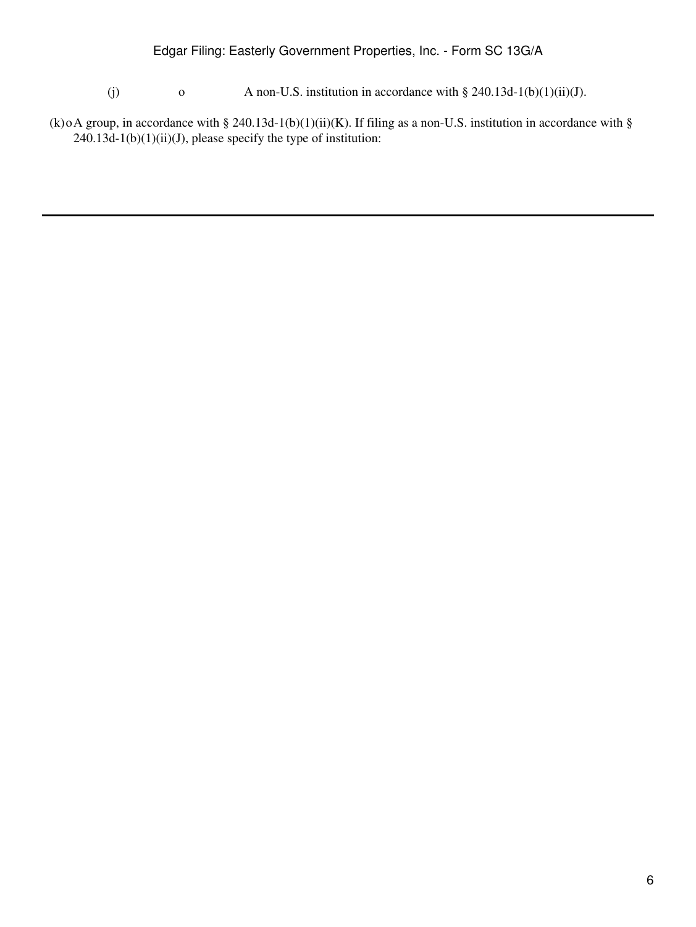# Edgar Filing: Easterly Government Properties, Inc. - Form SC 13G/A

- (j) o A non-U.S. institution in accordance with  $\S 240.13d-1(b)(1)(ii)(J)$ .
- (k)oA group, in accordance with § 240.13d-1(b)(1)(ii)(K). If filing as a non-U.S. institution in accordance with §  $240.13d-1(b)(1)(ii)(J)$ , please specify the type of institution: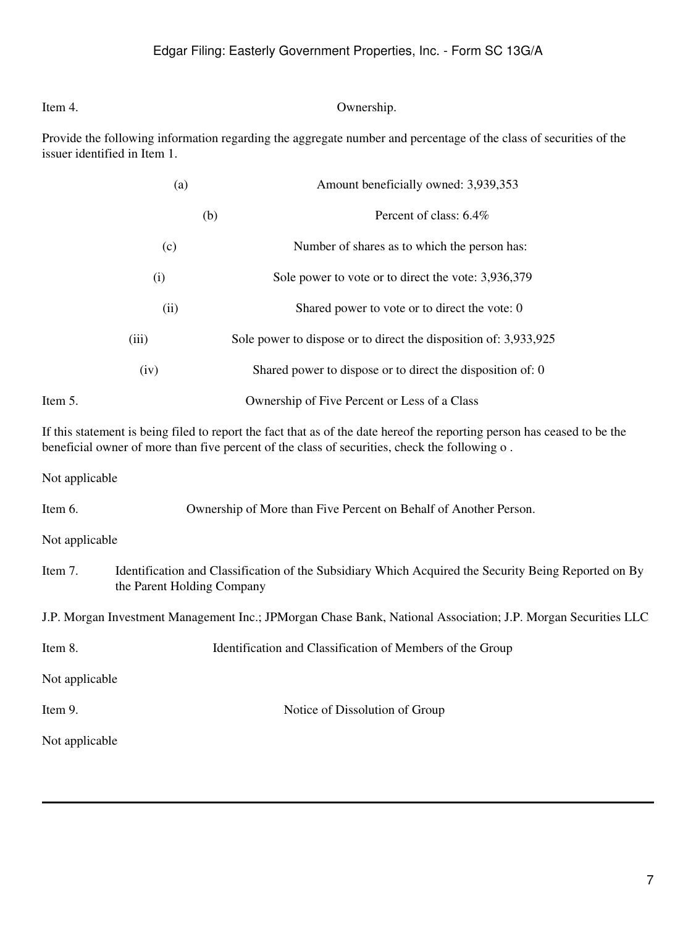## Item 4. Ownership.

Provide the following information regarding the aggregate number and percentage of the class of securities of the issuer identified in Item 1.

| (a)     |       | Amount beneficially owned: 3,939,353                             |
|---------|-------|------------------------------------------------------------------|
|         | (b)   | Percent of class: 6.4%                                           |
|         | (c)   | Number of shares as to which the person has:                     |
|         | (i)   | Sole power to vote or to direct the vote: 3,936,379              |
|         | (ii)  | Shared power to vote or to direct the vote: 0                    |
|         | (iii) | Sole power to dispose or to direct the disposition of: 3,933,925 |
|         | (iv)  | Shared power to dispose or to direct the disposition of: 0       |
| Item 5. |       | Ownership of Five Percent or Less of a Class                     |

If this statement is being filed to report the fact that as of the date hereof the reporting person has ceased to be the beneficial owner of more than five percent of the class of securities, check the following o .

Not applicable

Item 6. Ownership of More than Five Percent on Behalf of Another Person.

Not applicable

Item 7. Identification and Classification of the Subsidiary Which Acquired the Security Being Reported on By the Parent Holding Company

J.P. Morgan Investment Management Inc.; JPMorgan Chase Bank, National Association; J.P. Morgan Securities LLC

| Item 8. | Identification and Classification of Members of the Group |
|---------|-----------------------------------------------------------|
|         |                                                           |

Not applicable

Item 9. Notice of Dissolution of Group

Not applicable